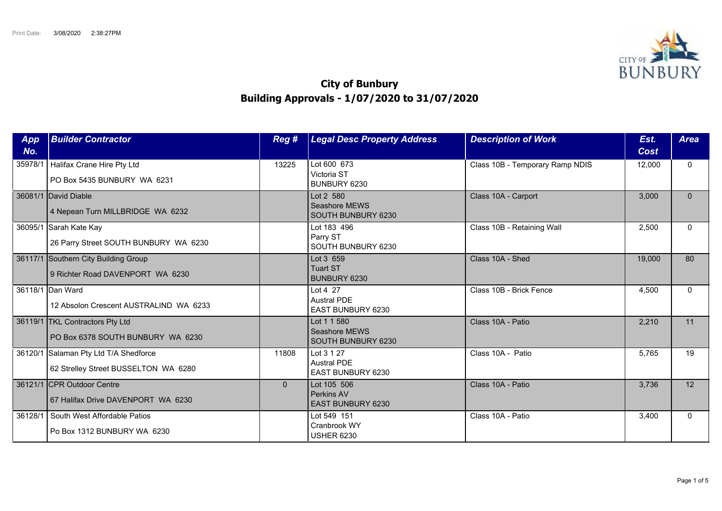

## **City of Bunbury Building Approvals - 1/07/2020 to 31/07/2020**

| App<br>No. | <b>Builder Contractor</b>                                                     | Reg#     | <b>Legal Desc Property Address</b>                    | <b>Description of Work</b>      | Est.<br>Cost | <b>Area</b>  |
|------------|-------------------------------------------------------------------------------|----------|-------------------------------------------------------|---------------------------------|--------------|--------------|
| 35978/1    | Halifax Crane Hire Pty Ltd<br>PO Box 5435 BUNBURY WA 6231                     | 13225    | Lot 600 673<br>Victoria ST<br>BUNBURY 6230            | Class 10B - Temporary Ramp NDIS | 12,000       | $\mathbf{0}$ |
|            | 36081/1 David Diable<br>4 Nepean Turn MILLBRIDGE WA 6232                      |          | Lot 2 580<br>Seashore MEWS<br>SOUTH BUNBURY 6230      | Class 10A - Carport             | 3,000        | $\mathbf{0}$ |
| 36095/1    | Sarah Kate Kay<br>26 Parry Street SOUTH BUNBURY WA 6230                       |          | Lot 183 496<br>Parry ST<br>SOUTH BUNBURY 6230         | Class 10B - Retaining Wall      | 2,500        | $\Omega$     |
|            | 36117/1 Southern City Building Group<br>9 Richter Road DAVENPORT WA 6230      |          | Lot 3 659<br><b>Tuart ST</b><br><b>BUNBURY 6230</b>   | Class 10A - Shed                | 19,000       | 80           |
|            | 36118/1 Dan Ward<br>12 Absolon Crescent AUSTRALIND WA 6233                    |          | Lot 4 27<br><b>Austral PDE</b><br>EAST BUNBURY 6230   | Class 10B - Brick Fence         | 4,500        | $\Omega$     |
|            | 36119/1   TKL Contractors Pty Ltd<br>PO Box 6378 SOUTH BUNBURY WA 6230        |          | Lot 1 1 580<br>Seashore MEWS<br>SOUTH BUNBURY 6230    | Class 10A - Patio               | 2,210        | 11           |
|            | 36120/1 Salaman Pty Ltd T/A Shedforce<br>62 Strelley Street BUSSELTON WA 6280 | 11808    | Lot 3 1 27<br><b>Austral PDE</b><br>EAST BUNBURY 6230 | Class 10A - Patio               | 5,765        | 19           |
|            | 36121/1 CPR Outdoor Centre<br>67 Halifax Drive DAVENPORT WA 6230              | $\Omega$ | Lot 105 506<br>Perkins AV<br><b>EAST BUNBURY 6230</b> | Class 10A - Patio               | 3,736        | 12           |
| 36128/1    | South West Affordable Patios<br>Po Box 1312 BUNBURY WA 6230                   |          | Lot 549 151<br>Cranbrook WY<br><b>USHER 6230</b>      | Class 10A - Patio               | 3,400        | $\Omega$     |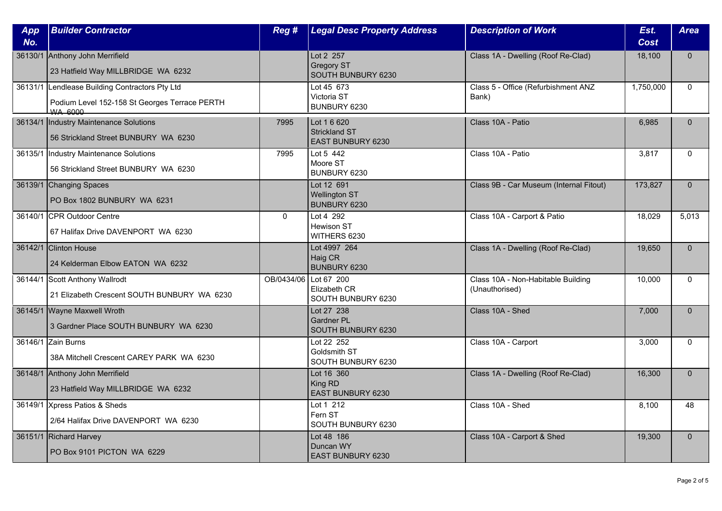| App<br>No. | <b>Builder Contractor</b>                                                                                         | Reg #                 | <b>Legal Desc Property Address</b>                              | <b>Description of Work</b>                           | Est.<br>Cost | <b>Area</b>  |
|------------|-------------------------------------------------------------------------------------------------------------------|-----------------------|-----------------------------------------------------------------|------------------------------------------------------|--------------|--------------|
|            | 36130/1 Anthony John Merrifield<br>23 Hatfield Way MILLBRIDGE WA 6232                                             |                       | Lot 2 257<br><b>Gregory ST</b><br>SOUTH BUNBURY 6230            | Class 1A - Dwelling (Roof Re-Clad)                   | 18,100       | $\mathbf{0}$ |
|            | 36131/1 Lendlease Building Contractors Pty Ltd<br>Podium Level 152-158 St Georges Terrace PERTH<br><b>WA 6000</b> |                       | Lot 45 673<br>Victoria ST<br>BUNBURY 6230                       | Class 5 - Office (Refurbishment ANZ<br>Bank)         | 1,750,000    | $\Omega$     |
|            | 36134/1  Industry Maintenance Solutions<br>56 Strickland Street BUNBURY WA 6230                                   | 7995                  | Lot 1 6 620<br><b>Strickland ST</b><br><b>EAST BUNBURY 6230</b> | Class 10A - Patio                                    | 6,985        | $\Omega$     |
| 36135/1    | Industry Maintenance Solutions<br>56 Strickland Street BUNBURY WA 6230                                            | 7995                  | Lot 5 442<br>Moore ST<br>BUNBURY 6230                           | Class 10A - Patio                                    | 3,817        | $\mathbf{0}$ |
|            | 36139/1 Changing Spaces<br>PO Box 1802 BUNBURY WA 6231                                                            |                       | Lot 12 691<br><b>Wellington ST</b><br>BUNBURY 6230              | Class 9B - Car Museum (Internal Fitout)              | 173,827      | $\mathbf{0}$ |
|            | 36140/1 CPR Outdoor Centre<br>67 Halifax Drive DAVENPORT WA 6230                                                  | $\Omega$              | Lot 4 292<br><b>Hewison ST</b><br>WITHERS 6230                  | Class 10A - Carport & Patio                          | 18,029       | 5,013        |
|            | 36142/1 Clinton House<br>24 Kelderman Elbow EATON WA 6232                                                         |                       | Lot 4997 264<br>Haig CR<br><b>BUNBURY 6230</b>                  | Class 1A - Dwelling (Roof Re-Clad)                   | 19,650       | $\Omega$     |
|            | 36144/1 Scott Anthony Wallrodt<br>21 Elizabeth Crescent SOUTH BUNBURY WA 6230                                     | OB/0434/06 Lot 67 200 | Elizabeth CR<br>SOUTH BUNBURY 6230                              | Class 10A - Non-Habitable Building<br>(Unauthorised) | 10,000       | $\mathbf{0}$ |
|            | 36145/1 Wayne Maxwell Wroth<br>3 Gardner Place SOUTH BUNBURY WA 6230                                              |                       | Lot 27 238<br>Gardner PL<br>SOUTH BUNBURY 6230                  | Class 10A - Shed                                     | 7,000        | $\Omega$     |
|            | 36146/1 Zain Burns<br>38A Mitchell Crescent CAREY PARK WA 6230                                                    |                       | Lot 22 252<br>Goldsmith ST<br>SOUTH BUNBURY 6230                | Class 10A - Carport                                  | 3,000        | $\Omega$     |
|            | 36148/1 Anthony John Merrifield<br>23 Hatfield Way MILLBRIDGE WA 6232                                             |                       | Lot 16 360<br>King RD<br>EAST BUNBURY 6230                      | Class 1A - Dwelling (Roof Re-Clad)                   | 16,300       | $\Omega$     |
|            | 36149/1 Xpress Patios & Sheds<br>2/64 Halifax Drive DAVENPORT WA 6230                                             |                       | Lot 1 212<br>Fern ST<br>SOUTH BUNBURY 6230                      | Class 10A - Shed                                     | 8,100        | 48           |
|            | 36151/1 Richard Harvey<br>PO Box 9101 PICTON WA 6229                                                              |                       | Lot 48 186<br>Duncan WY<br><b>EAST BUNBURY 6230</b>             | Class 10A - Carport & Shed                           | 19,300       | $\mathbf{0}$ |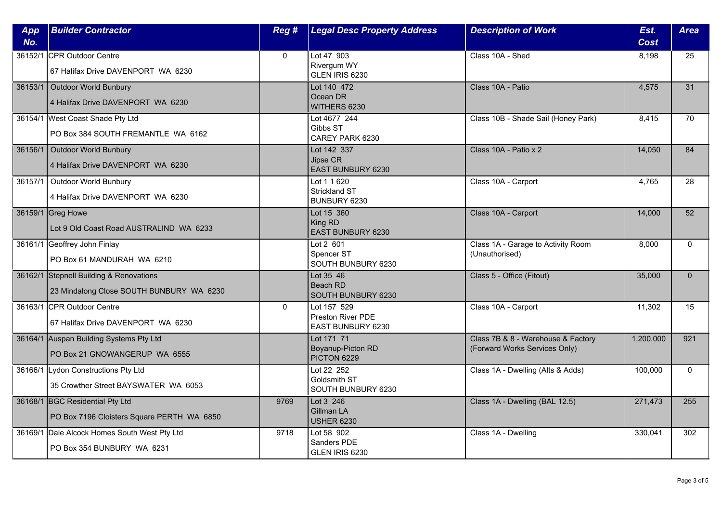| App     | <b>Builder Contractor</b>                                                           | Reg #        | <b>Legal Desc Property Address</b>                    | <b>Description of Work</b>                                          | Est.        | <b>Area</b>  |
|---------|-------------------------------------------------------------------------------------|--------------|-------------------------------------------------------|---------------------------------------------------------------------|-------------|--------------|
| No.     |                                                                                     |              |                                                       |                                                                     | <b>Cost</b> |              |
|         | 36152/1 CPR Outdoor Centre<br>67 Halifax Drive DAVENPORT WA 6230                    | $\mathbf{0}$ | Lot 47 903<br>Rivergum WY<br>GLEN IRIS 6230           | Class 10A - Shed                                                    | 8,198       | 25           |
|         | 36153/1   Outdoor World Bunbury<br>4 Halifax Drive DAVENPORT WA 6230                |              | Lot 140 472<br>Ocean DR<br>WITHERS 6230               | Class 10A - Patio                                                   | 4,575       | 31           |
|         | 36154/1 West Coast Shade Pty Ltd<br>PO Box 384 SOUTH FREMANTLE WA 6162              |              | Lot 4677 244<br>Gibbs ST<br>CAREY PARK 6230           | Class 10B - Shade Sail (Honey Park)                                 | 8,415       | 70           |
|         | 36156/1 Outdoor World Bunbury<br>4 Halifax Drive DAVENPORT WA 6230                  |              | Lot 142 337<br>Jipse CR<br>EAST BUNBURY 6230          | Class 10A - Patio x 2                                               | 14,050      | 84           |
| 36157/1 | Outdoor World Bunbury<br>4 Halifax Drive DAVENPORT WA 6230                          |              | Lot 1 1 620<br><b>Strickland ST</b><br>BUNBURY 6230   | Class 10A - Carport                                                 | 4,765       | 28           |
|         | 36159/1 Greg Howe<br>Lot 9 Old Coast Road AUSTRALIND WA 6233                        |              | Lot 15 360<br>King RD<br>EAST BUNBURY 6230            | Class 10A - Carport                                                 | 14,000      | 52           |
|         | 36161/1 Geoffrey John Finlay<br>PO Box 61 MANDURAH WA 6210                          |              | Lot 2 601<br>Spencer ST<br>SOUTH BUNBURY 6230         | Class 1A - Garage to Activity Room<br>(Unauthorised)                | 8,000       | $\mathbf{0}$ |
|         | 36162/1 Stepnell Building & Renovations<br>23 Mindalong Close SOUTH BUNBURY WA 6230 |              | Lot 35 46<br>Beach RD<br>SOUTH BUNBURY 6230           | Class 5 - Office (Fitout)                                           | 35,000      | $\mathbf{0}$ |
|         | 36163/1 CPR Outdoor Centre<br>67 Halifax Drive DAVENPORT WA 6230                    | $\mathbf{0}$ | Lot 157 529<br>Preston River PDE<br>EAST BUNBURY 6230 | Class 10A - Carport                                                 | 11,302      | 15           |
|         | 36164/1 Auspan Building Systems Pty Ltd<br>PO Box 21 GNOWANGERUP WA 6555            |              | Lot 171 71<br>Boyanup-Picton RD<br>PICTON 6229        | Class 7B & 8 - Warehouse & Factory<br>(Forward Works Services Only) | 1,200,000   | 921          |
|         | 36166/1 Lydon Constructions Pty Ltd<br>35 Crowther Street BAYSWATER WA 6053         |              | Lot 22 252<br>Goldsmith ST<br>SOUTH BUNBURY 6230      | Class 1A - Dwelling (Alts & Adds)                                   | 100,000     | $\mathbf{0}$ |
|         | 36168/1 BGC Residential Pty Ltd<br>PO Box 7196 Cloisters Square PERTH WA 6850       | 9769         | Lot 3 246<br>Gillman LA<br><b>USHER 6230</b>          | Class 1A - Dwelling (BAL 12.5)                                      | 271,473     | 255          |
|         | 36169/1 Dale Alcock Homes South West Pty Ltd<br>PO Box 354 BUNBURY WA 6231          | 9718         | Lot 58 902<br>Sanders PDE<br>GLEN IRIS 6230           | Class 1A - Dwelling                                                 | 330,041     | 302          |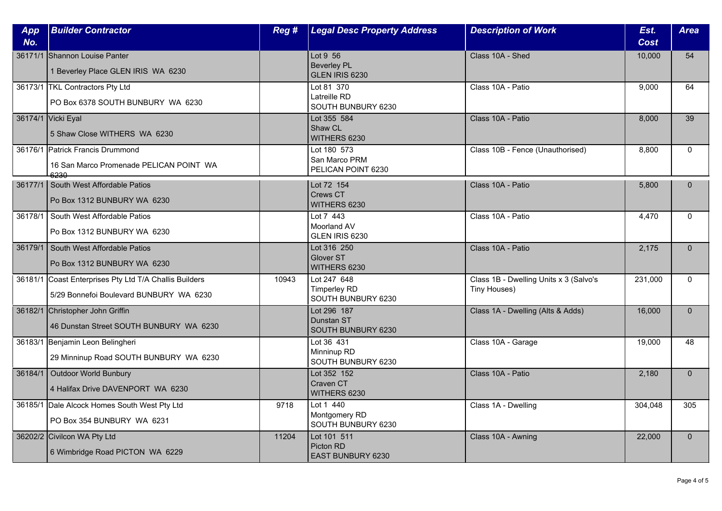| App<br>No. | <b>Builder Contractor</b>                                                                         | Reg # | <b>Legal Desc Property Address</b>                       | <b>Description of Work</b>                             | Est.<br>Cost | <b>Area</b>  |
|------------|---------------------------------------------------------------------------------------------------|-------|----------------------------------------------------------|--------------------------------------------------------|--------------|--------------|
|            | 36171/1 Shannon Louise Panter<br>1 Beverley Place GLEN IRIS WA 6230                               |       | Lot 9 56<br><b>Beverley PL</b><br>GLEN IRIS 6230         | Class 10A - Shed                                       | 10,000       | 54           |
|            | 36173/1 TKL Contractors Pty Ltd<br>PO Box 6378 SOUTH BUNBURY WA 6230                              |       | Lot 81 370<br>Latreille RD<br>SOUTH BUNBURY 6230         | Class 10A - Patio                                      | 9,000        | 64           |
|            | 36174/1 Vicki Eyal<br>5 Shaw Close WITHERS WA 6230                                                |       | Lot 355 584<br>Shaw CL<br>WITHERS 6230                   | Class 10A - Patio                                      | 8,000        | 39           |
|            | 36176/1 Patrick Francis Drummond<br>16 San Marco Promenade PELICAN POINT WA<br>6230               |       | Lot 180 573<br>San Marco PRM<br>PELICAN POINT 6230       | Class 10B - Fence (Unauthorised)                       | 8,800        | $\Omega$     |
|            | 36177/1 South West Affordable Patios<br>Po Box 1312 BUNBURY WA 6230                               |       | Lot 72 154<br>Crews CT<br>WITHERS 6230                   | Class 10A - Patio                                      | 5.800        | $\Omega$     |
| 36178/1    | South West Affordable Patios<br>Po Box 1312 BUNBURY WA 6230                                       |       | Lot 7 443<br>Moorland AV<br>GLEN IRIS 6230               | Class 10A - Patio                                      | 4,470        | $\Omega$     |
| 36179/1    | South West Affordable Patios<br>Po Box 1312 BUNBURY WA 6230                                       |       | Lot 316 250<br>Glover ST<br>WITHERS 6230                 | Class 10A - Patio                                      | 2,175        | $\mathbf{0}$ |
|            | 36181/1 Coast Enterprises Pty Ltd T/A Challis Builders<br>5/29 Bonnefoi Boulevard BUNBURY WA 6230 | 10943 | Lot 247 648<br><b>Timperley RD</b><br>SOUTH BUNBURY 6230 | Class 1B - Dwelling Units x 3 (Salvo's<br>Tiny Houses) | 231,000      | $\mathbf{0}$ |
|            | 36182/1 Christopher John Griffin<br>46 Dunstan Street SOUTH BUNBURY WA 6230                       |       | Lot 296 187<br>Dunstan ST<br>SOUTH BUNBURY 6230          | Class 1A - Dwelling (Alts & Adds)                      | 16,000       | $\Omega$     |
|            | 36183/1 Benjamin Leon Belingheri<br>29 Minninup Road SOUTH BUNBURY WA 6230                        |       | Lot 36 431<br>Minninup RD<br>SOUTH BUNBURY 6230          | Class 10A - Garage                                     | 19,000       | 48           |
|            | 36184/1 Outdoor World Bunbury<br>4 Halifax Drive DAVENPORT WA 6230                                |       | Lot 352 152<br>Craven CT<br>WITHERS 6230                 | Class 10A - Patio                                      | 2,180        | $\mathbf{0}$ |
|            | 36185/1 Dale Alcock Homes South West Pty Ltd<br>PO Box 354 BUNBURY WA 6231                        | 9718  | Lot 1 440<br>Montgomery RD<br>SOUTH BUNBURY 6230         | Class 1A - Dwelling                                    | 304,048      | 305          |
|            | 36202/2 Civilcon WA Pty Ltd<br>6 Wimbridge Road PICTON WA 6229                                    | 11204 | Lot 101 511<br>Picton RD<br>EAST BUNBURY 6230            | Class 10A - Awning                                     | 22,000       | $\mathbf{0}$ |